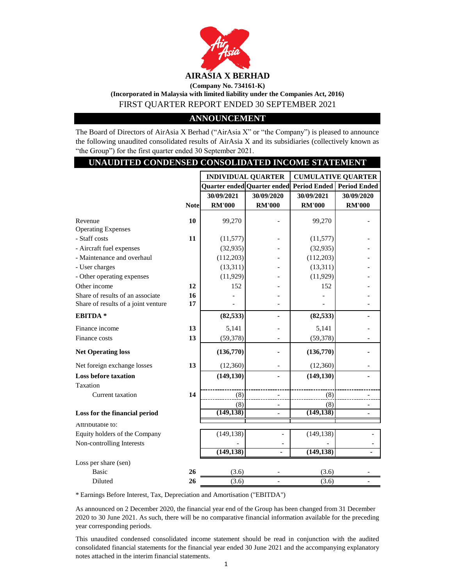

**(Incorporated in Malaysia with limited liability under the Companies Act, 2016)**

FIRST QUARTER REPORT ENDED 30 SEPTEMBER 2021

# **ANNOUNCEMENT**

The Board of Directors of AirAsia X Berhad ("AirAsia X" or "the Company") is pleased to announce the following unaudited consolidated results of AirAsia X and its subsidiaries (collectively known as "the Group") for the first quarter ended 30 September 2021.

|                                     | UNAUDITED CONDENSED CONSOLIDATED INCOME STATEMENT |                           |                             |               |                           |  |  |
|-------------------------------------|---------------------------------------------------|---------------------------|-----------------------------|---------------|---------------------------|--|--|
|                                     |                                                   | <b>INDIVIDUAL QUARTER</b> |                             |               | <b>CUMULATIVE QUARTER</b> |  |  |
|                                     |                                                   |                           | Quarter ended Quarter ended |               | Period Ended Period Ended |  |  |
|                                     |                                                   | 30/09/2021                | 30/09/2020                  | 30/09/2021    | 30/09/2020                |  |  |
|                                     | <b>Note</b>                                       | <b>RM'000</b>             | <b>RM'000</b>               | <b>RM'000</b> | <b>RM'000</b>             |  |  |
| Revenue                             | 10                                                | 99,270                    |                             | 99,270        |                           |  |  |
| <b>Operating Expenses</b>           |                                                   |                           |                             |               |                           |  |  |
| - Staff costs                       | 11                                                | (11, 577)                 |                             | (11, 577)     |                           |  |  |
| - Aircraft fuel expenses            |                                                   | (32, 935)                 |                             | (32, 935)     |                           |  |  |
| - Maintenance and overhaul          |                                                   | (112,203)                 |                             | (112,203)     |                           |  |  |
| - User charges                      |                                                   | (13,311)                  |                             | (13, 311)     |                           |  |  |
| - Other operating expenses          |                                                   | (11, 929)                 |                             | (11, 929)     |                           |  |  |
| Other income                        | 12                                                | 152                       |                             | 152           |                           |  |  |
| Share of results of an associate    | 16                                                |                           |                             |               |                           |  |  |
| Share of results of a joint venture | 17                                                |                           |                             |               |                           |  |  |
| EBITDA <sup>*</sup>                 |                                                   | (82, 533)                 |                             | (82, 533)     |                           |  |  |
| Finance income                      | 13                                                | 5,141                     |                             | 5,141         |                           |  |  |
| Finance costs                       | 13                                                | (59, 378)                 |                             | (59, 378)     |                           |  |  |
| <b>Net Operating loss</b>           |                                                   | (136,770)                 |                             | (136,770)     |                           |  |  |
| Net foreign exchange losses         | 13                                                | (12, 360)                 |                             | (12, 360)     |                           |  |  |
| <b>Loss before taxation</b>         |                                                   | (149, 130)                |                             | (149, 130)    |                           |  |  |
| Taxation                            |                                                   |                           |                             |               |                           |  |  |
| <b>Current</b> taxation             | 14                                                | (8)                       |                             | (8)           |                           |  |  |
|                                     |                                                   | (8)                       | $\overline{\phantom{a}}$    | (8)           |                           |  |  |
| Loss for the financial period       |                                                   | (149, 138)                | $\overline{a}$              | (149, 138)    | $\overline{a}$            |  |  |
| Attributable to:                    |                                                   |                           |                             |               |                           |  |  |
| Equity holders of the Company       |                                                   | (149, 138)                |                             | (149, 138)    |                           |  |  |
| Non-controlling Interests           |                                                   |                           |                             |               |                           |  |  |
|                                     |                                                   | (149, 138)                | ä,                          | (149, 138)    | ä,                        |  |  |
| Loss per share (sen)                |                                                   |                           |                             |               |                           |  |  |
| <b>Basic</b>                        | 26                                                | (3.6)                     |                             | (3.6)         |                           |  |  |
| Diluted                             | 26                                                | (3.6)                     |                             | (3.6)         |                           |  |  |

\* Earnings Before Interest, Tax, Depreciation and Amortisation ("EBITDA")

As announced on 2 December 2020, the financial year end of the Group has been changed from 31 December 2020 to 30 June 2021. As such, there will be no comparative financial information available for the preceding year corresponding periods.

This unaudited condensed consolidated income statement should be read in conjunction with the audited consolidated financial statements for the financial year ended 30 June 2021 and the accompanying explanatory notes attached in the interim financial statements.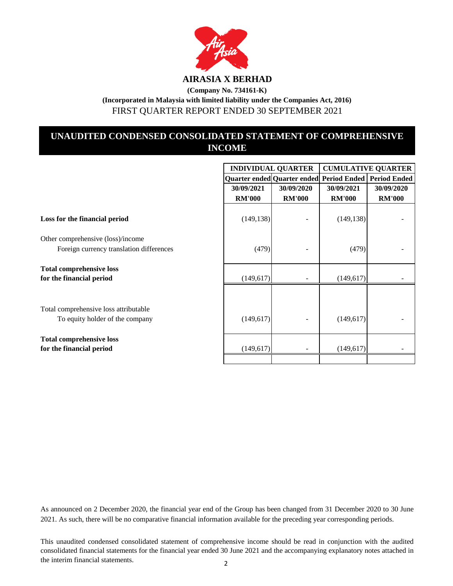

FIRST QUARTER REPORT ENDED 30 SEPTEMBER 2021

# **UNAUDITED CONDENSED CONSOLIDATED STATEMENT OF COMPREHENSIVE INCOME**

|                                                                               |               | <b>INDIVIDUAL QUARTER</b>                               | <b>CUMULATIVE QUARTER</b> |               |
|-------------------------------------------------------------------------------|---------------|---------------------------------------------------------|---------------------------|---------------|
|                                                                               |               | Quarter ended Quarter ended Period Ended   Period Ended |                           |               |
|                                                                               | 30/09/2021    | 30/09/2020                                              | 30/09/2021                | 30/09/2020    |
|                                                                               | <b>RM'000</b> | <b>RM'000</b>                                           | <b>RM'000</b>             | <b>RM'000</b> |
| Loss for the financial period                                                 | (149, 138)    |                                                         | (149, 138)                |               |
| Other comprehensive (loss)/income<br>Foreign currency translation differences | (479)         |                                                         | (479)                     |               |
| <b>Total comprehensive loss</b>                                               |               |                                                         |                           |               |
| for the financial period                                                      | (149, 617)    |                                                         | (149, 617)                |               |
| Total comprehensive loss attributable<br>To equity holder of the company      | (149, 617)    |                                                         | (149, 617)                |               |
| <b>Total comprehensive loss</b><br>for the financial period                   | (149, 617)    |                                                         | (149, 617)                |               |
|                                                                               |               |                                                         |                           |               |

As announced on 2 December 2020, the financial year end of the Group has been changed from 31 December 2020 to 30 June 2021. As such, there will be no comparative financial information available for the preceding year corresponding periods.

This unaudited condensed consolidated statement of comprehensive income should be read in conjunction with the audited consolidated financial statements for the financial year ended 30 June 2021 and the accompanying explanatory notes attached in the interim financial statements. 2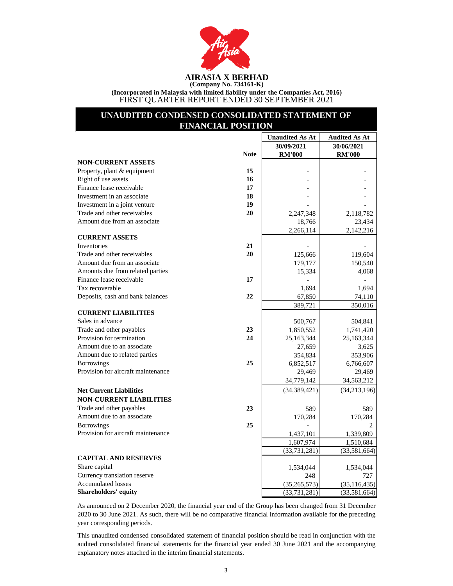

**(Incorporated in Malaysia with limited liability under the Companies Act, 2016)** FIRST QUARTER REPORT ENDED 30 SEPTEMBER 2021

# **UNAUDITED CONDENSED CONSOLIDATED STATEMENT OF FINANCIAL POSITION**

|                                    |             | <b>Unaudited As At</b> | <b>Audited As At</b> |
|------------------------------------|-------------|------------------------|----------------------|
|                                    |             | 30/09/2021             | 30/06/2021           |
|                                    | <b>Note</b> | <b>RM'000</b>          | <b>RM'000</b>        |
| <b>NON-CURRENT ASSETS</b>          |             |                        |                      |
| Property, plant & equipment        | 15          |                        |                      |
| Right of use assets                | 16          |                        |                      |
| Finance lease receivable           | 17          |                        |                      |
| Investment in an associate         | 18          |                        |                      |
| Investment in a joint venture      | 19          |                        |                      |
| Trade and other receivables        | 20          | 2,247,348              | 2,118,782            |
| Amount due from an associate       |             | 18,766                 | 23,434               |
|                                    |             | 2,266,114              | 2,142,216            |
| <b>CURRENT ASSETS</b>              |             |                        |                      |
| Inventories                        | 21          |                        |                      |
| Trade and other receivables        | 20          | 125,666                | 119,604              |
| Amount due from an associate       |             | 179,177                | 150,540              |
| Amounts due from related parties   |             | 15,334                 | 4,068                |
| Finance lease receivable           | 17          |                        |                      |
| Tax recoverable                    |             | 1,694                  | 1,694                |
| Deposits, cash and bank balances   | 22          | 67,850                 | 74,110               |
|                                    |             | 389,721                | 350,016              |
| <b>CURRENT LIABILITIES</b>         |             |                        |                      |
| Sales in advance                   |             | 500,767                | 504,841              |
| Trade and other payables           | 23          | 1,850,552              | 1,741,420            |
| Provision for termination          | 24          | 25,163,344             | 25,163,344           |
| Amount due to an associate         |             | 27,659                 | 3,625                |
| Amount due to related parties      |             | 354,834                | 353,906              |
| <b>Borrowings</b>                  | 25          | 6,852,517              | 6,766,607            |
| Provision for aircraft maintenance |             | 29,469                 | 29,469               |
|                                    |             | 34,779,142             | 34,563,212           |
| <b>Net Current Liabilities</b>     |             | (34, 389, 421)         | (34, 213, 196)       |
| <b>NON-CURRENT LIABILITIES</b>     |             |                        |                      |
| Trade and other payables           | 23          | 589                    | 589                  |
| Amount due to an associate         |             | 170,284                | 170,284              |
| <b>Borrowings</b>                  | 25          |                        |                      |
| Provision for aircraft maintenance |             | 1,437,101              | 1,339,809            |
|                                    |             | 1,607,974              | 1,510,684            |
|                                    |             | (33, 731, 281)         | (33,581,664)         |
| <b>CAPITAL AND RESERVES</b>        |             |                        |                      |
| Share capital                      |             | 1,534,044              | 1,534,044            |
| Currency translation reserve       |             | 248                    | 727                  |
| <b>Accumulated losses</b>          |             | (35, 265, 573)         | (35, 116, 435)       |
| <b>Shareholders' equity</b>        |             | (33, 731, 281)         | (33,581,664)         |

As announced on 2 December 2020, the financial year end of the Group has been changed from 31 December 2020 to 30 June 2021. As such, there will be no comparative financial information available for the preceding year corresponding periods.

This unaudited condensed consolidated statement of financial position should be read in conjunction with the audited consolidated financial statements for the financial year ended 30 June 2021 and the accompanying explanatory notes attached in the interim financial statements.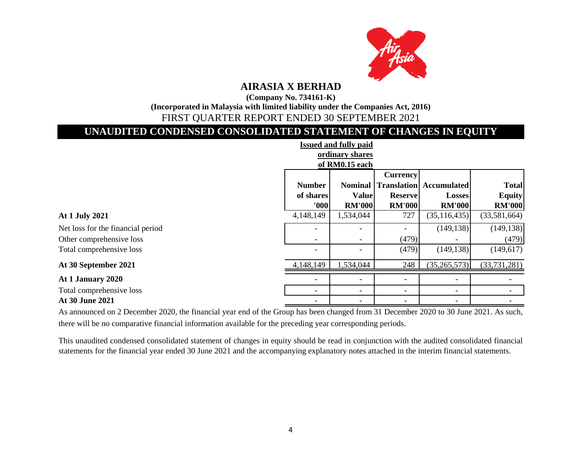

# **AIRASIA X BERHAD**

**(Company No. 734161-K)**

**(Incorporated in Malaysia with limited liability under the Companies Act, 2016)**

# FIRST QUARTER REPORT ENDED 30 SEPTEMBER 2021

# **UNAUDITED CONDENSED CONSOLIDATED STATEMENT OF CHANGES IN EQUITY**

| <b>Issued and fully paid</b>      |                          |                          |                          |                                |               |  |  |
|-----------------------------------|--------------------------|--------------------------|--------------------------|--------------------------------|---------------|--|--|
|                                   |                          | ordinary shares          |                          |                                |               |  |  |
|                                   |                          | of RM0.15 each           |                          |                                |               |  |  |
|                                   | <b>Currency</b>          |                          |                          |                                |               |  |  |
|                                   | <b>Number</b>            | <b>Nominal</b>           |                          | <b>Translation</b> Accumulated | <b>Total</b>  |  |  |
|                                   | of shares                | <b>Value</b>             | <b>Reserve</b>           | <b>Losses</b>                  | <b>Equity</b> |  |  |
|                                   | 000                      | <b>RM'000</b>            | <b>RM'000</b>            | <b>RM'000</b>                  | <b>RM'000</b> |  |  |
| At 1 July 2021                    | 4,148,149                | 1,534,044                | 727                      | (35, 116, 435)                 | (33,581,664)  |  |  |
| Net loss for the financial period |                          |                          |                          | (149, 138)                     | (149, 138)    |  |  |
| Other comprehensive loss          | $\overline{\phantom{a}}$ | $\overline{\phantom{a}}$ | (479)                    |                                | (479)         |  |  |
| Total comprehensive loss          | -                        |                          | (479)                    | (149, 138)                     | (149, 617)    |  |  |
| At 30 September 2021              | 4,148,149                | 1,534,044                | 248                      | (35, 265, 573)                 | (33,731,281)  |  |  |
| At 1 January 2020                 | $\overline{\phantom{a}}$ | $\overline{\phantom{0}}$ |                          | -                              |               |  |  |
| Total comprehensive loss          | $\qquad \qquad -$        | $\overline{\phantom{a}}$ | $\overline{\phantom{a}}$ | $\qquad \qquad \blacksquare$   |               |  |  |
| At 30 June 2021                   |                          |                          |                          |                                |               |  |  |

As announced on 2 December 2020, the financial year end of the Group has been changed from 31 December 2020 to 30 June 2021. As such, there will be no comparative financial information available for the preceding year corresponding periods.

This unaudited condensed consolidated statement of changes in equity should be read in conjunction with the audited consolidated financial statements for the financial year ended 30 June 2021 and the accompanying explanatory notes attached in the interim financial statements.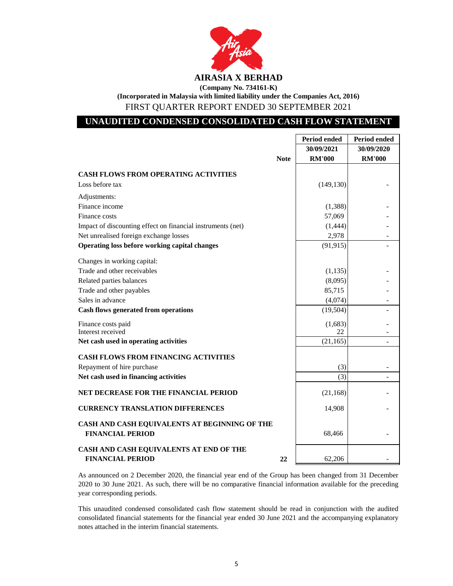

# **UNAUDITED CONDENSED CONSOLIDATED CASH FLOW STATEMENT**

|                                                                          |             | <b>Period ended</b> | <b>Period ended</b> |
|--------------------------------------------------------------------------|-------------|---------------------|---------------------|
|                                                                          |             | 30/09/2021          | 30/09/2020          |
|                                                                          | <b>Note</b> | <b>RM'000</b>       | <b>RM'000</b>       |
| <b>CASH FLOWS FROM OPERATING ACTIVITIES</b>                              |             |                     |                     |
| Loss before tax                                                          |             | (149, 130)          |                     |
| Adjustments:                                                             |             |                     |                     |
| Finance income                                                           |             | (1,388)             |                     |
| Finance costs                                                            |             | 57,069              |                     |
| Impact of discounting effect on financial instruments (net)              |             | (1,444)             |                     |
| Net unrealised foreign exchange losses                                   |             | 2,978               |                     |
| Operating loss before working capital changes                            |             | (91, 915)           |                     |
| Changes in working capital:                                              |             |                     |                     |
| Trade and other receivables                                              |             | (1, 135)            |                     |
| Related parties balances                                                 |             | (8,095)             |                     |
| Trade and other payables                                                 |             | 85,715              |                     |
| Sales in advance                                                         |             | (4,074)             |                     |
| <b>Cash flows generated from operations</b>                              |             | (19, 504)           |                     |
| Finance costs paid                                                       |             | (1,683)             |                     |
| Interest received                                                        |             | 22                  |                     |
| Net cash used in operating activities                                    |             | (21, 165)           |                     |
| <b>CASH FLOWS FROM FINANCING ACTIVITIES</b>                              |             |                     |                     |
| Repayment of hire purchase                                               |             | (3)                 |                     |
| Net cash used in financing activities                                    |             | (3)                 |                     |
| NET DECREASE FOR THE FINANCIAL PERIOD                                    |             | (21, 168)           |                     |
| <b>CURRENCY TRANSLATION DIFFERENCES</b>                                  |             | 14,908              |                     |
| CASH AND CASH EQUIVALENTS AT BEGINNING OF THE<br><b>FINANCIAL PERIOD</b> |             | 68,466              |                     |
| CASH AND CASH EQUIVALENTS AT END OF THE<br><b>FINANCIAL PERIOD</b>       | 22          | 62,206              |                     |

As announced on 2 December 2020, the financial year end of the Group has been changed from 31 December 2020 to 30 June 2021. As such, there will be no comparative financial information available for the preceding year corresponding periods.

This unaudited condensed consolidated cash flow statement should be read in conjunction with the audited consolidated financial statements for the financial year ended 30 June 2021 and the accompanying explanatory notes attached in the interim financial statements.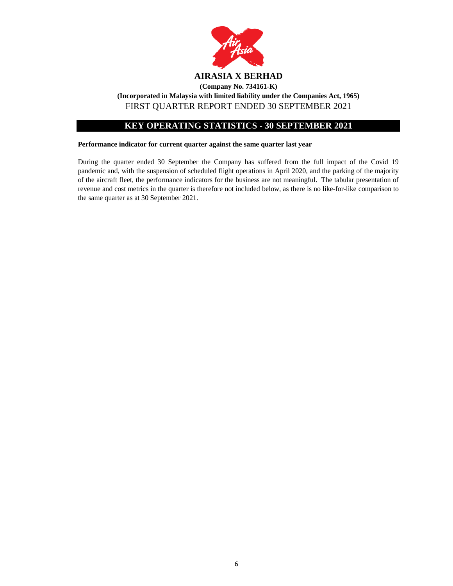

# **KEY OPERATING STATISTICS - 30 SEPTEMBER 2021**

### **Performance indicator for current quarter against the same quarter last year**

During the quarter ended 30 September the Company has suffered from the full impact of the Covid 19 pandemic and, with the suspension of scheduled flight operations in April 2020, and the parking of the majority of the aircraft fleet, the performance indicators for the business are not meaningful. The tabular presentation of revenue and cost metrics in the quarter is therefore not included below, as there is no like-for-like comparison to the same quarter as at 30 September 2021.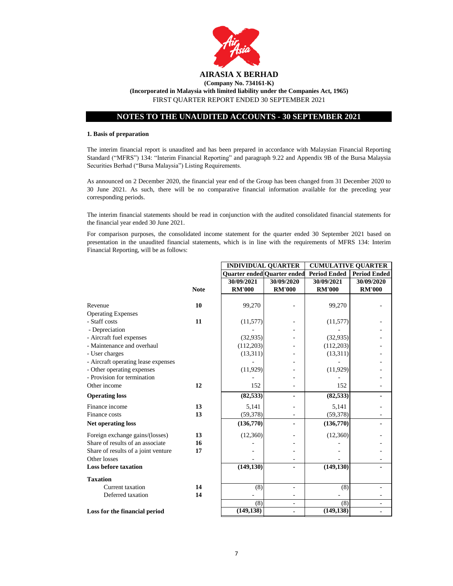

#### **1. Basis of preparation**

The interim financial report is unaudited and has been prepared in accordance with Malaysian Financial Reporting Standard ("MFRS") 134: "Interim Financial Reporting" and paragraph 9.22 and Appendix 9B of the Bursa Malaysia Securities Berhad ("Bursa Malaysia") Listing Requirements.

As announced on 2 December 2020, the financial year end of the Group has been changed from 31 December 2020 to 30 June 2021. As such, there will be no comparative financial information available for the preceding year corresponding periods.

The interim financial statements should be read in conjunction with the audited consolidated financial statements for the financial year ended 30 June 2021.

For comparison purposes, the consolidated income statement for the quarter ended 30 September 2021 based on presentation in the unaudited financial statements, which is in line with the requirements of MFRS 134: Interim Financial Reporting, will be as follows:

**INDIVIDUAL QUARTER CUMULATIVE QUARTER** 

|                                     |             | hwi y idolid Qohn i En      |               | $\alpha$            |                     |
|-------------------------------------|-------------|-----------------------------|---------------|---------------------|---------------------|
|                                     |             | Quarter ended Quarter ended |               | <b>Period Ended</b> | <b>Period Ended</b> |
|                                     |             | 30/09/2021                  | 30/09/2020    | 30/09/2021          | 30/09/2020          |
|                                     | <b>Note</b> | <b>RM'000</b>               | <b>RM'000</b> | <b>RM'000</b>       | <b>RM'000</b>       |
|                                     |             |                             |               |                     |                     |
| Revenue                             | 10          | 99,270                      |               | 99,270              |                     |
| <b>Operating Expenses</b>           |             |                             |               |                     |                     |
| - Staff costs                       | 11          | (11, 577)                   |               | (11, 577)           |                     |
| - Depreciation                      |             |                             |               |                     |                     |
| - Aircraft fuel expenses            |             | (32, 935)                   |               | (32, 935)           |                     |
| - Maintenance and overhaul          |             | (112,203)                   |               | (112,203)           |                     |
| - User charges                      |             | (13,311)                    |               | (13,311)            |                     |
| - Aircraft operating lease expenses |             |                             |               |                     |                     |
| - Other operating expenses          |             | (11, 929)                   |               | (11, 929)           |                     |
| - Provision for termination         |             |                             |               |                     |                     |
| Other income                        | 12          | 152                         |               | 152                 |                     |
| <b>Operating loss</b>               |             | (82, 533)                   |               | (82, 533)           |                     |
| Finance income                      | 13          | 5,141                       |               | 5,141               |                     |
| Finance costs                       | 13          | (59, 378)                   |               | (59, 378)           |                     |
| <b>Net operating loss</b>           |             | (136,770)                   |               | (136, 770)          |                     |
| Foreign exchange gains/(losses)     | 13          | (12,360)                    |               | (12,360)            |                     |
| Share of results of an associate    | 16          |                             |               |                     |                     |
| Share of results of a joint venture | 17          |                             |               |                     |                     |
| Other losses                        |             |                             |               |                     |                     |
| <b>Loss before taxation</b>         |             | (149, 130)                  |               | (149, 130)          |                     |
| <b>Taxation</b>                     |             |                             |               |                     |                     |
| Current taxation                    | 14          | (8)                         |               | (8)                 |                     |
| Deferred taxation                   | 14          |                             | -             |                     |                     |
|                                     |             | (8)                         | $\bar{a}$     | (8)                 |                     |
| Loss for the financial period       |             | (149, 138)                  |               | (149, 138)          |                     |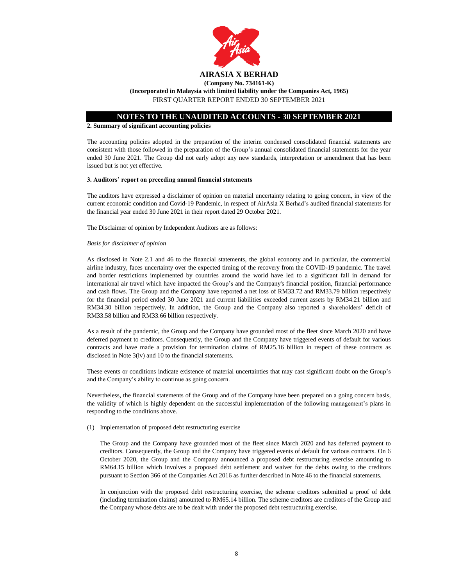

**(Incorporated in Malaysia with limited liability under the Companies Act, 1965)** FIRST QUARTER REPORT ENDED 30 SEPTEMBER 2021

### **NOTES TO THE UNAUDITED ACCOUNTS - 30 SEPTEMBER 2021**

#### **2. Summary of significant accounting policies**

The accounting policies adopted in the preparation of the interim condensed consolidated financial statements are consistent with those followed in the preparation of the Group's annual consolidated financial statements for the year ended 30 June 2021. The Group did not early adopt any new standards, interpretation or amendment that has been issued but is not yet effective.

#### **3. Auditors' report on preceding annual financial statements**

The auditors have expressed a disclaimer of opinion on material uncertainty relating to going concern, in view of the current economic condition and Covid-19 Pandemic, in respect of AirAsia X Berhad's audited financial statements for the financial year ended 30 June 2021 in their report dated 29 October 2021.

The Disclaimer of opinion by Independent Auditors are as follows:

#### *Basis for disclaimer of opinion*

As disclosed in Note 2.1 and 46 to the financial statements, the global economy and in particular, the commercial airline industry, faces uncertainty over the expected timing of the recovery from the COVID-19 pandemic. The travel and border restrictions implemented by countries around the world have led to a significant fall in demand for international air travel which have impacted the Group's and the Company's financial position, financial performance and cash flows. The Group and the Company have reported a net loss of RM33.72 and RM33.79 billion respectively for the financial period ended 30 June 2021 and current liabilities exceeded current assets by RM34.21 billion and RM34.30 billion respectively. In addition, the Group and the Company also reported a shareholders' deficit of RM33.58 billion and RM33.66 billion respectively.

As a result of the pandemic, the Group and the Company have grounded most of the fleet since March 2020 and have deferred payment to creditors. Consequently, the Group and the Company have triggered events of default for various contracts and have made a provision for termination claims of RM25.16 billion in respect of these contracts as disclosed in Note 3(iv) and 10 to the financial statements.

These events or conditions indicate existence of material uncertainties that may cast significant doubt on the Group's and the Company's ability to continue as going concern.

Nevertheless, the financial statements of the Group and of the Company have been prepared on a going concern basis, the validity of which is highly dependent on the successful implementation of the following management's plans in responding to the conditions above.

(1) Implementation of proposed debt restructuring exercise

The Group and the Company have grounded most of the fleet since March 2020 and has deferred payment to creditors. Consequently, the Group and the Company have triggered events of default for various contracts. On 6 October 2020, the Group and the Company announced a proposed debt restructuring exercise amounting to RM64.15 billion which involves a proposed debt settlement and waiver for the debts owing to the creditors pursuant to Section 366 of the Companies Act 2016 as further described in Note 46 to the financial statements.

In conjunction with the proposed debt restructuring exercise, the scheme creditors submitted a proof of debt (including termination claims) amounted to RM65.14 billion. The scheme creditors are creditors of the Group and the Company whose debts are to be dealt with under the proposed debt restructuring exercise.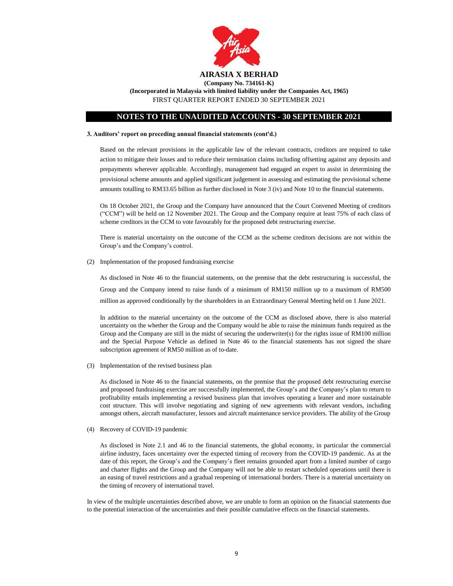

**(Incorporated in Malaysia with limited liability under the Companies Act, 1965)** FIRST QUARTER REPORT ENDED 30 SEPTEMBER 2021

# **NOTES TO THE UNAUDITED ACCOUNTS - 30 SEPTEMBER 2021**

#### **3. Auditors' report on preceding annual financial statements (cont'd.)**

Based on the relevant provisions in the applicable law of the relevant contracts, creditors are required to take action to mitigate their losses and to reduce their termination claims including offsetting against any deposits and prepayments wherever applicable. Accordingly, management had engaged an expert to assist in determining the provisional scheme amounts and applied significant judgement in assessing and estimating the provisional scheme amounts totalling to RM33.65 billion as further disclosed in Note 3 (iv) and Note 10 to the financial statements.

On 18 October 2021, the Group and the Company have announced that the Court Convened Meeting of creditors ("CCM") will be held on 12 November 2021. The Group and the Company require at least 75% of each class of scheme creditors in the CCM to vote favourably for the proposed debt restructuring exercise.

There is material uncertainty on the outcome of the CCM as the scheme creditors decisions are not within the Group's and the Company's control.

(2) Implementation of the proposed fundraising exercise

As disclosed in Note 46 to the financial statements, on the premise that the debt restructuring is successful, the Group and the Company intend to raise funds of a minimum of RM150 million up to a maximum of RM500 million as approved conditionally by the shareholders in an Extraordinary General Meeting held on 1 June 2021.

In addition to the material uncertainty on the outcome of the CCM as disclosed above, there is also material uncertainty on the whether the Group and the Company would be able to raise the minimum funds required as the Group and the Company are still in the midst of securing the underwriter(s) for the rights issue of RM100 million and the Special Purpose Vehicle as defined in Note 46 to the financial statements has not signed the share subscription agreement of RM50 million as of to-date.

(3) Implementation of the revised business plan

As disclosed in Note 46 to the financial statements, on the premise that the proposed debt restructuring exercise and proposed fundraising exercise are successfully implemented, the Group's and the Company's plan to return to profitability entails implementing a revised business plan that involves operating a leaner and more sustainable cost structure. This will involve negotiating and signing of new agreements with relevant vendors, including amongst others, aircraft manufacturer, lessors and aircraft maintenance service providers. The ability of the Group

(4) Recovery of COVID-19 pandemic

As disclosed in Note 2.1 and 46 to the financial statements, the global economy, in particular the commercial airline industry, faces uncertainty over the expected timing of recovery from the COVID-19 pandemic. As at the date of this report, the Group's and the Company's fleet remains grounded apart from a limited number of cargo and charter flights and the Group and the Company will not be able to restart scheduled operations until there is an easing of travel restrictions and a gradual reopening of international borders. There is a material uncertainty on the timing of recovery of international travel.

In view of the multiple uncertainties described above, we are unable to form an opinion on the financial statements due to the potential interaction of the uncertainties and their possible cumulative effects on the financial statements.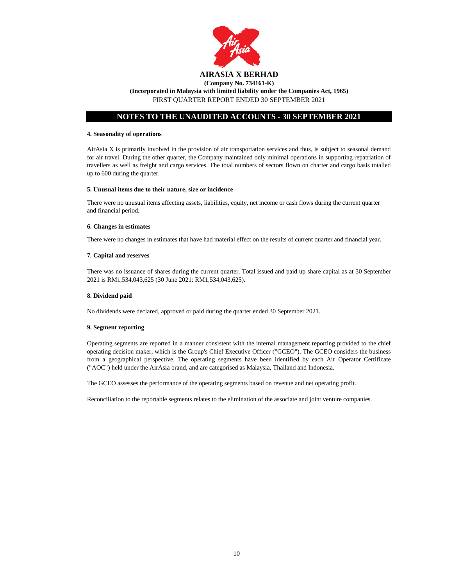

#### **(Company No. 734161-K) (Incorporated in Malaysia with limited liability under the Companies Act, 1965)** FIRST QUARTER REPORT ENDED 30 SEPTEMBER 2021

# **NOTES TO THE UNAUDITED ACCOUNTS - 30 SEPTEMBER 2021**

#### **4. Seasonality of operations**

AirAsia X is primarily involved in the provision of air transportation services and thus, is subject to seasonal demand for air travel. During the other quarter, the Company maintained only minimal operations in supporting repatriation of travellers as well as freight and cargo services. The total numbers of sectors flown on charter and cargo basis totalled up to 600 during the quarter.

#### **5. Unusual items due to their nature, size or incidence**

There were no unusual items affecting assets, liabilities, equity, net income or cash flows during the current quarter and financial period.

#### **6. Changes in estimates**

There were no changes in estimates that have had material effect on the results of current quarter and financial year.

#### **7. Capital and reserves**

There was no issuance of shares during the current quarter. Total issued and paid up share capital as at 30 September 2021 is RM1,534,043,625 (30 June 2021: RM1,534,043,625).

#### **8. Dividend paid**

No dividends were declared, approved or paid during the quarter ended 30 September 2021.

#### **9. Segment reporting**

Operating segments are reported in a manner consistent with the internal management reporting provided to the chief operating decision maker, which is the Group's Chief Executive Officer ("GCEO"). The GCEO considers the business from a geographical perspective. The operating segments have been identified by each Air Operator Certificate ("AOC") held under the AirAsia brand, and are categorised as Malaysia, Thailand and Indonesia.

The GCEO assesses the performance of the operating segments based on revenue and net operating profit.

Reconciliation to the reportable segments relates to the elimination of the associate and joint venture companies.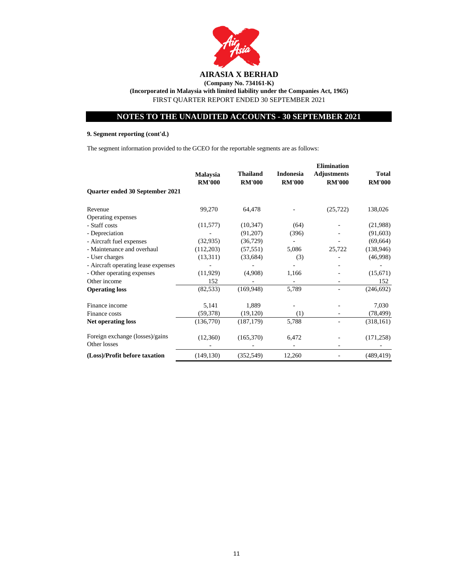

**(Company No. 734161-K) (Incorporated in Malaysia with limited liability under the Companies Act, 1965)** FIRST QUARTER REPORT ENDED 30 SEPTEMBER 2021

# **NOTES TO THE UNAUDITED ACCOUNTS - 30 SEPTEMBER 2021**

# **9. Segment reporting (cont'd.)**

The segment information provided to the GCEO for the reportable segments are as follows:

|                                                 |                 |                 |                  | <b>Elimination</b> |               |
|-------------------------------------------------|-----------------|-----------------|------------------|--------------------|---------------|
|                                                 | <b>Malaysia</b> | <b>Thailand</b> | <b>Indonesia</b> | <b>Adjustments</b> | <b>Total</b>  |
|                                                 | <b>RM'000</b>   | <b>RM'000</b>   | <b>RM'000</b>    | <b>RM'000</b>      | <b>RM'000</b> |
| Quarter ended 30 September 2021                 |                 |                 |                  |                    |               |
| Revenue                                         | 99,270          | 64,478          |                  | (25, 722)          | 138,026       |
| Operating expenses                              |                 |                 |                  |                    |               |
| - Staff costs                                   | (11,577)        | (10, 347)       | (64)             |                    | (21,988)      |
| - Depreciation                                  |                 | (91,207)        | (396)            |                    | (91,603)      |
| - Aircraft fuel expenses                        | (32, 935)       | (36, 729)       |                  |                    | (69, 664)     |
| - Maintenance and overhaul                      | (112,203)       | (57, 551)       | 5,086            | 25,722             | (138, 946)    |
| - User charges                                  | (13,311)        | (33, 684)       | (3)              |                    | (46,998)      |
| - Aircraft operating lease expenses             |                 |                 |                  |                    |               |
| - Other operating expenses                      | (11,929)        | (4,908)         | 1,166            |                    | (15,671)      |
| Other income                                    | 152             |                 |                  |                    | 152           |
| <b>Operating loss</b>                           | (82, 533)       | (169, 948)      | 5,789            |                    | (246, 692)    |
| Finance income                                  | 5,141           | 1,889           |                  |                    | 7,030         |
| Finance costs                                   | (59, 378)       | (19, 120)       | (1)              |                    | (78, 499)     |
| <b>Net operating loss</b>                       | (136,770)       | (187, 179)      | 5,788            |                    | (318, 161)    |
| Foreign exchange (losses)/gains<br>Other losses | (12,360)        | (165,370)       | 6,472            |                    | (171, 258)    |
| (Loss)/Profit before taxation                   | (149, 130)      | (352, 549)      | 12,260           |                    | (489, 419)    |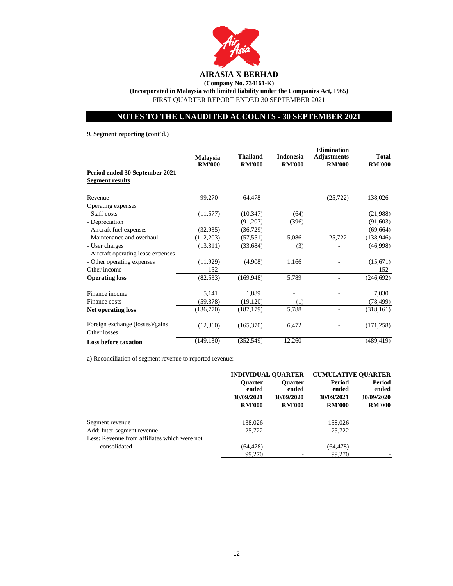

# **AIRASIA X BERHAD**

**(Company No. 734161-K) (Incorporated in Malaysia with limited liability under the Companies Act, 1965)** FIRST QUARTER REPORT ENDED 30 SEPTEMBER 2021

# **NOTES TO THE UNAUDITED ACCOUNTS - 30 SEPTEMBER 2021**

**9. Segment reporting (cont'd.)**

|                                                          | <b>Malaysia</b><br><b>RM'000</b> | <b>Thailand</b><br><b>RM'000</b> | <b>Indonesia</b><br><b>RM'000</b> | <b>Elimination</b><br><b>Adjustments</b><br><b>RM'000</b> | Total<br><b>RM'000</b> |
|----------------------------------------------------------|----------------------------------|----------------------------------|-----------------------------------|-----------------------------------------------------------|------------------------|
| Period ended 30 September 2021<br><b>Segment results</b> |                                  |                                  |                                   |                                                           |                        |
| Revenue                                                  | 99,270                           | 64,478                           |                                   | (25, 722)                                                 | 138,026                |
| Operating expenses                                       |                                  |                                  |                                   |                                                           |                        |
| - Staff costs                                            | (11,577)                         | (10, 347)                        | (64)                              |                                                           | (21,988)               |
| - Depreciation                                           |                                  | (91,207)                         | (396)                             |                                                           | (91, 603)              |
| - Aircraft fuel expenses                                 | (32, 935)                        | (36,729)                         |                                   |                                                           | (69, 664)              |
| - Maintenance and overhaul                               | (112,203)                        | (57, 551)                        | 5,086                             | 25,722                                                    | (138, 946)             |
| - User charges                                           | (13,311)                         | (33, 684)                        | (3)                               |                                                           | (46,998)               |
| - Aircraft operating lease expenses                      |                                  |                                  |                                   |                                                           |                        |
| - Other operating expenses                               | (11,929)                         | (4,908)                          | 1,166                             |                                                           | (15,671)               |
| Other income                                             | 152                              |                                  |                                   |                                                           | 152                    |
| <b>Operating loss</b>                                    | (82, 533)                        | (169, 948)                       | 5,789                             |                                                           | (246, 692)             |
| Finance income                                           | 5,141                            | 1,889                            |                                   |                                                           | 7,030                  |
| Finance costs                                            | (59, 378)                        | (19, 120)                        | (1)                               |                                                           | (78, 499)              |
| <b>Net operating loss</b>                                | (136,770)                        | (187, 179)                       | 5,788                             |                                                           | (318, 161)             |
| Foreign exchange (losses)/gains<br>Other losses          | (12,360)                         | (165,370)                        | 6,472                             |                                                           | (171, 258)             |
| <b>Loss before taxation</b>                              | (149, 130)                       | (352, 549)                       | 12,260                            |                                                           | (489, 419)             |

a) Reconciliation of segment revenue to reported revenue:

|                                              | <b>INDIVIDUAL OUARTER</b>                              |                                                        | <b>CUMULATIVE OUARTER</b>                      |                                                |
|----------------------------------------------|--------------------------------------------------------|--------------------------------------------------------|------------------------------------------------|------------------------------------------------|
|                                              | <b>Ouarter</b><br>ended<br>30/09/2021<br><b>RM'000</b> | <b>Ouarter</b><br>ended<br>30/09/2020<br><b>RM'000</b> | Period<br>ended<br>30/09/2021<br><b>RM'000</b> | Period<br>ended<br>30/09/2020<br><b>RM'000</b> |
|                                              |                                                        |                                                        |                                                |                                                |
| Segment revenue                              | 138,026                                                |                                                        | 138,026                                        |                                                |
| Add: Inter-segment revenue                   | 25,722                                                 |                                                        | 25,722                                         |                                                |
| Less: Revenue from affiliates which were not |                                                        |                                                        |                                                |                                                |
| consolidated                                 | (64, 478)                                              |                                                        | (64, 478)                                      |                                                |
|                                              | 99,270                                                 |                                                        | 99,270                                         |                                                |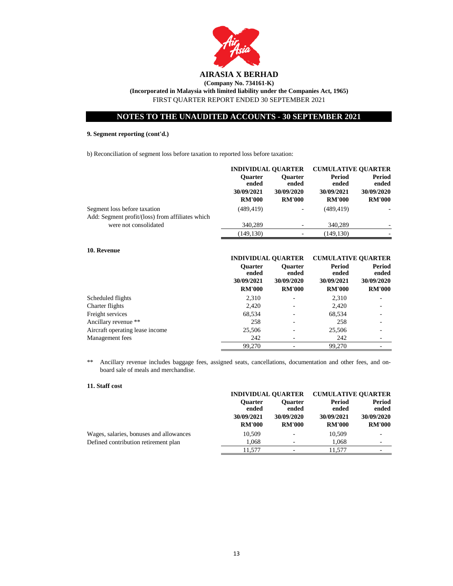

# **9. Segment reporting (cont'd.)**

b) Reconciliation of segment loss before taxation to reported loss before taxation:

|                                                  | <b>INDIVIDUAL OUARTER</b> |                         | <b>CUMULATIVE OUARTER</b> |                 |
|--------------------------------------------------|---------------------------|-------------------------|---------------------------|-----------------|
|                                                  | <b>Ouarter</b><br>ended   | <b>Ouarter</b><br>ended | <b>Period</b><br>ended    | Period<br>ended |
|                                                  | 30/09/2021                | 30/09/2020              | 30/09/2021                | 30/09/2020      |
|                                                  | <b>RM'000</b>             | <b>RM'000</b>           | <b>RM'000</b>             | <b>RM'000</b>   |
| Segment loss before taxation                     | (489, 419)                | ۰                       | (489, 419)                |                 |
| Add: Segment profit/(loss) from affiliates which |                           |                         |                           |                 |
| were not consolidated                            | 340,289                   |                         | 340,289                   |                 |
|                                                  | (149, 130)                |                         | (149.130)                 |                 |

#### **10. Revenue**

|                                 | <b>INDIVIDUAL OUARTER</b>                              |                                                        | <b>CUMULATIVE OUARTER</b>                      |                                                |
|---------------------------------|--------------------------------------------------------|--------------------------------------------------------|------------------------------------------------|------------------------------------------------|
|                                 | <b>Ouarter</b><br>ended<br>30/09/2021<br><b>RM'000</b> | <b>Ouarter</b><br>ended<br>30/09/2020<br><b>RM'000</b> | Period<br>ended<br>30/09/2021<br><b>RM'000</b> | Period<br>ended<br>30/09/2020<br><b>RM'000</b> |
| Scheduled flights               | 2,310                                                  |                                                        | 2,310                                          |                                                |
| Charter flights                 | 2,420                                                  |                                                        | 2,420                                          |                                                |
| Freight services                | 68,534                                                 |                                                        | 68,534                                         |                                                |
| Ancillary revenue **            | 258                                                    |                                                        | 258                                            |                                                |
| Aircraft operating lease income | 25,506                                                 |                                                        | 25,506                                         |                                                |
| Management fees                 | 242                                                    |                                                        | 242                                            |                                                |
|                                 | 99.270                                                 |                                                        | 99.270                                         |                                                |

\*\* Ancillary revenue includes baggage fees, assigned seats, cancellations, documentation and other fees, and onboard sale of meals and merchandise.

#### **11. Staff cost**

|                                         | <b>INDIVIDUAL OUARTER</b> |                          | <b>CUMULATIVE OUARTER</b> |                          |
|-----------------------------------------|---------------------------|--------------------------|---------------------------|--------------------------|
|                                         | <b>Ouarter</b><br>ended   | <b>Ouarter</b><br>ended  | Period<br>ended           | Period<br>ended          |
|                                         | 30/09/2021                | 30/09/2020               | 30/09/2021                | 30/09/2020               |
|                                         | <b>RM'000</b>             | <b>RM'000</b>            | <b>RM'000</b>             | <b>RM'000</b>            |
| Wages, salaries, bonuses and allowances | 10,509                    | $\overline{\phantom{0}}$ | 10,509                    |                          |
| Defined contribution retirement plan    | 1.068                     |                          | 1.068                     | $\overline{\phantom{a}}$ |
|                                         | 11.577                    | $\overline{\phantom{0}}$ | 11.577                    | -                        |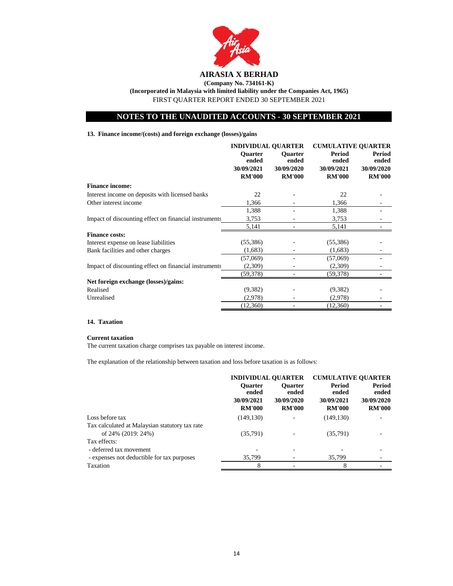

**(Incorporated in Malaysia with limited liability under the Companies Act, 1965)**

FIRST QUARTER REPORT ENDED 30 SEPTEMBER 2021

# **NOTES TO THE UNAUDITED ACCOUNTS - 30 SEPTEMBER 2021**

# **13. Finance income/(costs) and foreign exchange (losses)/gains**

|                                                       | <b>INDIVIDUAL QUARTER</b>                              |                                                        | <b>CUMULATIVE OUARTER</b>                      |                                                       |
|-------------------------------------------------------|--------------------------------------------------------|--------------------------------------------------------|------------------------------------------------|-------------------------------------------------------|
|                                                       | <b>Ouarter</b><br>ended<br>30/09/2021<br><b>RM'000</b> | <b>Ouarter</b><br>ended<br>30/09/2020<br><b>RM'000</b> | Period<br>ended<br>30/09/2021<br><b>RM'000</b> | <b>Period</b><br>ended<br>30/09/2020<br><b>RM'000</b> |
| <b>Finance income:</b>                                |                                                        |                                                        |                                                |                                                       |
| Interest income on deposits with licensed banks       | 22                                                     |                                                        | 22                                             |                                                       |
| Other interest income                                 | 1,366                                                  |                                                        | 1,366                                          |                                                       |
|                                                       | 1,388                                                  |                                                        | 1,388                                          |                                                       |
| Impact of discounting effect on financial instruments | 3,753                                                  |                                                        | 3,753                                          |                                                       |
|                                                       | 5,141                                                  |                                                        | 5,141                                          |                                                       |
| <b>Finance costs:</b>                                 |                                                        |                                                        |                                                |                                                       |
| Interest expense on lease liabilities                 | (55,386)                                               |                                                        | (55,386)                                       |                                                       |
| Bank facilities and other charges                     | (1,683)                                                |                                                        | (1,683)                                        |                                                       |
|                                                       | (57,069)                                               |                                                        | (57,069)                                       |                                                       |
| Impact of discounting effect on financial instruments | (2,309)                                                |                                                        | (2,309)                                        |                                                       |
|                                                       | (59,378)                                               |                                                        | (59,378)                                       |                                                       |
| Net foreign exchange (losses)/gains:                  |                                                        |                                                        |                                                |                                                       |
| Realised                                              | (9,382)                                                |                                                        | (9,382)                                        |                                                       |
| Unrealised                                            | (2,978)                                                |                                                        | (2,978)                                        |                                                       |
|                                                       | (12,360)                                               |                                                        | (12,360)                                       |                                                       |

### **14. Taxation**

#### **Current taxation**

The current taxation charge comprises tax payable on interest income.

The explanation of the relationship between taxation and loss before taxation is as follows:

|                                                | <b>INDIVIDUAL QUARTER</b>                              |                                                        | <b>CUMULATIVE QUARTER</b>                      |                                                       |
|------------------------------------------------|--------------------------------------------------------|--------------------------------------------------------|------------------------------------------------|-------------------------------------------------------|
|                                                | <b>Ouarter</b><br>ended<br>30/09/2021<br><b>RM'000</b> | <b>Ouarter</b><br>ended<br>30/09/2020<br><b>RM'000</b> | Period<br>ended<br>30/09/2021<br><b>RM'000</b> | <b>Period</b><br>ended<br>30/09/2020<br><b>RM'000</b> |
| Loss before tax                                | (149, 130)                                             |                                                        | (149, 130)                                     |                                                       |
| Tax calculated at Malaysian statutory tax rate |                                                        |                                                        |                                                |                                                       |
| of 24% (2019: 24%)                             | (35,791)                                               |                                                        | (35,791)                                       |                                                       |
| Tax effects:                                   |                                                        |                                                        |                                                |                                                       |
| - deferred tax movement                        |                                                        |                                                        |                                                |                                                       |
| - expenses not deductible for tax purposes     | 35,799                                                 |                                                        | 35,799                                         |                                                       |
| Taxation                                       | 8                                                      |                                                        | 8                                              |                                                       |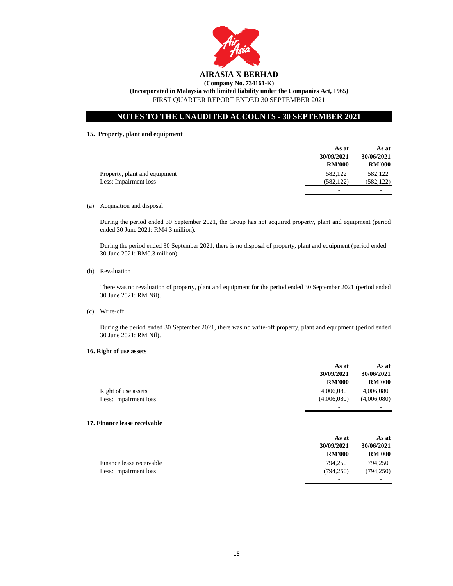

# **AIRASIA X BERHAD**

**(Company No. 734161-K) (Incorporated in Malaysia with limited liability under the Companies Act, 1965)** FIRST QUARTER REPORT ENDED 30 SEPTEMBER 2021

# **NOTES TO THE UNAUDITED ACCOUNTS - 30 SEPTEMBER 2021**

# **15. Property, plant and equipment**

|                               | As at         | As at         |
|-------------------------------|---------------|---------------|
|                               | 30/09/2021    | 30/06/2021    |
|                               | <b>RM'000</b> | <b>RM'000</b> |
| Property, plant and equipment | 582,122       | 582,122       |
| Less: Impairment loss         | (582, 122)    | (582, 122)    |
|                               | -             | -             |

(a) Acquisition and disposal

During the period ended 30 September 2021, the Group has not acquired property, plant and equipment (period ended 30 June 2021: RM4.3 million).

During the period ended 30 September 2021, there is no disposal of property, plant and equipment (period ended 30 June 2021: RM0.3 million).

(b) Revaluation

There was no revaluation of property, plant and equipment for the period ended 30 September 2021 (period ended 30 June 2021: RM Nil).

(c) Write-off

During the period ended 30 September 2021, there was no write-off property, plant and equipment (period ended 30 June 2021: RM Nil).

#### **16. Right of use assets**

|                       | As at<br>30/09/2021<br><b>RM'000</b> | As at<br>30/06/2021<br><b>RM'000</b> |
|-----------------------|--------------------------------------|--------------------------------------|
| Right of use assets   | 4,006,080                            | 4,006,080                            |
| Less: Impairment loss | (4,006,080)                          | (4,006,080)                          |
|                       | $\overline{\phantom{0}}$             |                                      |

#### **17. Finance lease receivable**

|                          | As at<br>30/09/2021<br><b>RM'000</b> | As at<br>30/06/2021<br><b>RM'000</b> |
|--------------------------|--------------------------------------|--------------------------------------|
| Finance lease receivable | 794.250                              | 794.250                              |
| Less: Impairment loss    | (794.250)                            | (794,250)                            |
|                          | -                                    |                                      |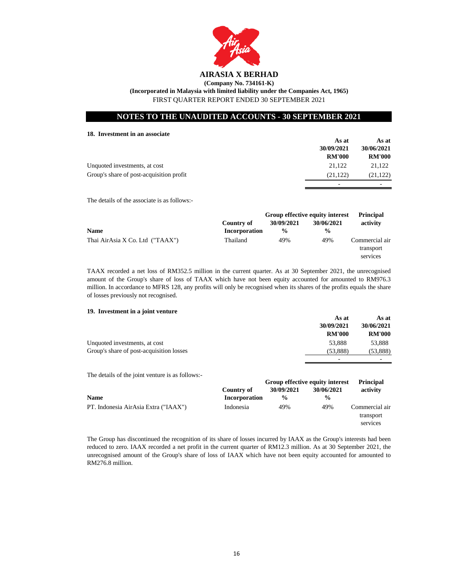

**(Incorporated in Malaysia with limited liability under the Companies Act, 1965)**

FIRST QUARTER REPORT ENDED 30 SEPTEMBER 2021

# **NOTES TO THE UNAUDITED ACCOUNTS - 30 SEPTEMBER 2021**

#### **18. Investment in an associate**

|                                          | As at         | As at         |
|------------------------------------------|---------------|---------------|
|                                          | 30/09/2021    | 30/06/2021    |
|                                          | <b>RM'000</b> | <b>RM'000</b> |
| Unquoted investments, at cost            | 21.122        | 21.122        |
| Group's share of post-acquisition profit | (21, 122)     | (21, 122)     |
|                                          | -             |               |

The details of the associate is as follows:-

|                                 |               | Group effective equity interest |               | <b>Principal</b>                        |
|---------------------------------|---------------|---------------------------------|---------------|-----------------------------------------|
|                                 | Country of    | 30/09/2021                      | 30/06/2021    | activity                                |
| <b>Name</b>                     | Incorporation | $\frac{0}{0}$                   | $\frac{0}{0}$ |                                         |
| Thai AirAsia X Co. Ltd ("TAAX") | Thailand      | 49%                             | 49%           | Commercial air<br>transport<br>services |

TAAX recorded a net loss of RM352.5 million in the current quarter. As at 30 September 2021, the unrecognised amount of the Group's share of loss of TAAX which have not been equity accounted for amounted to RM976.3 million. In accordance to MFRS 128, any profits will only be recognised when its shares of the profits equals the share of losses previously not recognised.

#### **19. Investment in a joint venture**

|                                          | As at         | As at         |
|------------------------------------------|---------------|---------------|
|                                          | 30/09/2021    | 30/06/2021    |
|                                          | <b>RM'000</b> | <b>RM'000</b> |
| Unquoted investments, at cost            | 53,888        | 53.888        |
| Group's share of post-acquisition losses | (53,888)      | (53, 888)     |
|                                          | -             | -             |

The details of the joint venture is as follows:-

|                                      |               | Group effective equity interest |               | <b>Principal</b>                        |
|--------------------------------------|---------------|---------------------------------|---------------|-----------------------------------------|
|                                      | Country of    | 30/09/2021                      | 30/06/2021    | activity                                |
| <b>Name</b>                          | Incorporation | $\frac{0}{0}$                   | $\frac{0}{0}$ |                                         |
| PT. Indonesia AirAsia Extra ("IAAX") | Indonesia     | 49%                             | 49%           | Commercial air<br>transport<br>services |

The Group has discontinued the recognition of its share of losses incurred by IAAX as the Group's interests had been reduced to zero. IAAX recorded a net profit in the current quarter of RM12.3 million. As at 30 September 2021, the unrecognised amount of the Group's share of loss of IAAX which have not been equity accounted for amounted to RM276.8 million.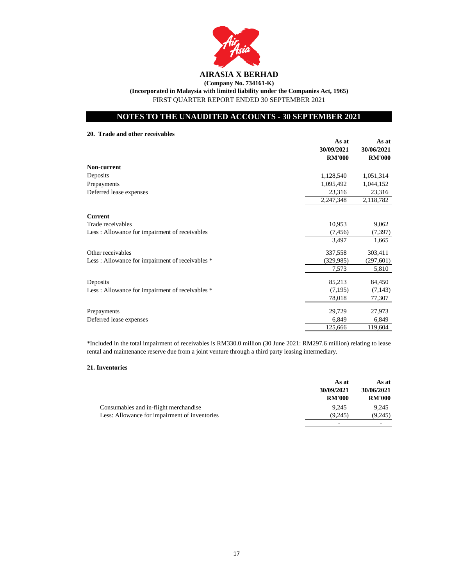

# **AIRASIA X BERHAD (Company No. 734161-K) (Incorporated in Malaysia with limited liability under the Companies Act, 1965)** FIRST QUARTER REPORT ENDED 30 SEPTEMBER 2021

# **NOTES TO THE UNAUDITED ACCOUNTS - 30 SEPTEMBER 2021**

**20. Trade and other receivables**

|                                                  | As at<br>30/09/2021<br><b>RM'000</b> | As at<br>30/06/2021<br><b>RM'000</b> |
|--------------------------------------------------|--------------------------------------|--------------------------------------|
| Non-current                                      |                                      |                                      |
| Deposits                                         | 1,128,540                            | 1,051,314                            |
| Prepayments                                      | 1,095,492                            | 1,044,152                            |
| Deferred lease expenses                          | 23,316                               | 23,316                               |
|                                                  | 2,247,348                            | 2,118,782                            |
| <b>Current</b>                                   |                                      |                                      |
| Trade receivables                                | 10,953                               | 9,062                                |
| Less: Allowance for impairment of receivables    | (7, 456)                             | (7, 397)                             |
|                                                  | 3,497                                | 1,665                                |
| Other receivables                                | 337,558                              | 303,411                              |
| Less: Allowance for impairment of receivables *  | (329, 985)                           | (297, 601)                           |
|                                                  | 7,573                                | 5,810                                |
| Deposits                                         | 85,213                               | 84,450                               |
| Less : Allowance for impairment of receivables * | (7,195)                              | (7, 143)                             |
|                                                  | 78,018                               | 77,307                               |
| Prepayments                                      | 29,729                               | 27,973                               |
| Deferred lease expenses                          | 6,849                                | 6,849                                |
|                                                  | 125,666                              | 119,604                              |

\*Included in the total impairment of receivables is RM330.0 million (30 June 2021: RM297.6 million) relating to lease rental and maintenance reserve due from a joint venture through a third party leasing intermediary.

#### **21. Inventories**

|                                               | As at         | As at         |
|-----------------------------------------------|---------------|---------------|
|                                               | 30/09/2021    | 30/06/2021    |
|                                               | <b>RM'000</b> | <b>RM'000</b> |
| Consumables and in-flight merchandise         | 9.245         | 9.245         |
| Less: Allowance for impairment of inventories | (9.245)       | (9,245)       |
|                                               | -             |               |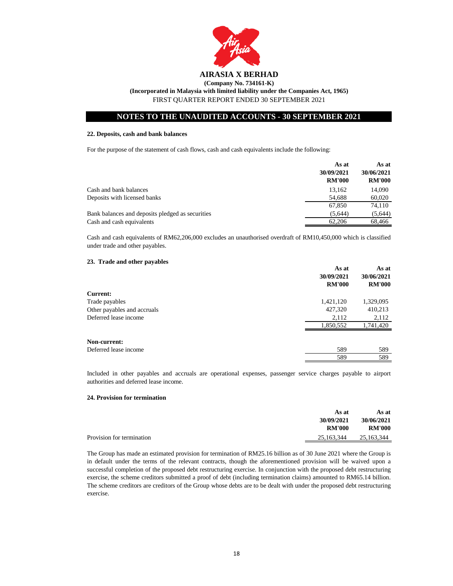

#### **22. Deposits, cash and bank balances**

For the purpose of the statement of cash flows, cash and cash equivalents include the following:

|                                                  | As at<br>30/09/2021<br><b>RM'000</b> | As at<br>30/06/2021<br><b>RM'000</b> |
|--------------------------------------------------|--------------------------------------|--------------------------------------|
| Cash and bank balances                           | 13.162                               | 14,090                               |
| Deposits with licensed banks                     | 54,688                               | 60,020                               |
|                                                  | 67.850                               | 74.110                               |
| Bank balances and deposits pledged as securities | (5,644)                              | (5,644)                              |
| Cash and cash equivalents                        | 62,206                               | 68,466                               |

Cash and cash equivalents of RM62,206,000 excludes an unauthorised overdraft of RM10,450,000 which is classified under trade and other payables.

#### **23. Trade and other payables**

|                             | As at<br>30/09/2021 | As at<br>30/06/2021 |
|-----------------------------|---------------------|---------------------|
|                             | <b>RM'000</b>       | <b>RM'000</b>       |
| <b>Current:</b>             |                     |                     |
| Trade payables              | 1,421,120           | 1,329,095           |
| Other payables and accruals | 427,320             | 410,213             |
| Deferred lease income       | 2,112               | 2,112               |
|                             | 1,850,552           | 1,741,420           |
| Non-current:                |                     |                     |
| Deferred lease income       | 589                 | 589                 |
|                             | 589                 | 589                 |

Included in other payables and accruals are operational expenses, passenger service charges payable to airport authorities and deferred lease income.

#### **24. Provision for termination**

|                           | As at         | As at         |
|---------------------------|---------------|---------------|
|                           | 30/09/2021    | 30/06/2021    |
|                           | <b>RM'000</b> | <b>RM'000</b> |
| Provision for termination | 25,163,344    | 25,163,344    |
|                           |               |               |

The Group has made an estimated provision for termination of RM25.16 billion as of 30 June 2021 where the Group is in default under the terms of the relevant contracts, though the aforementioned provision will be waived upon a successful completion of the proposed debt restructuring exercise. In conjunction with the proposed debt restructuring exercise, the scheme creditors submitted a proof of debt (including termination claims) amounted to RM65.14 billion. The scheme creditors are creditors of the Group whose debts are to be dealt with under the proposed debt restructuring exercise.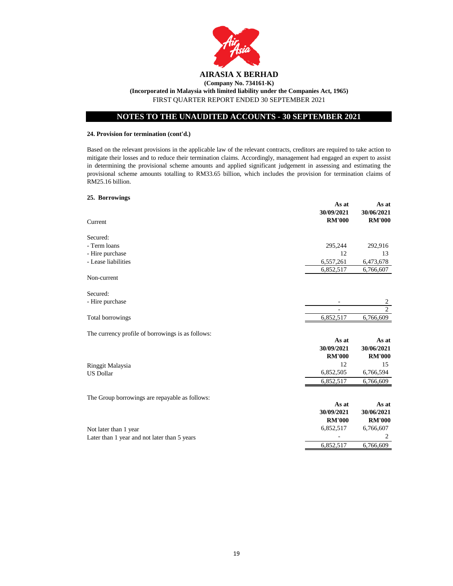

# **24. Provision for termination (cont'd.)**

Based on the relevant provisions in the applicable law of the relevant contracts, creditors are required to take action to mitigate their losses and to reduce their termination claims. Accordingly, management had engaged an expert to assist in determining the provisional scheme amounts and applied significant judgement in assessing and estimating the provisional scheme amounts totalling to RM33.65 billion, which includes the provision for termination claims of RM25.16 billion.

**As at As at**

#### **25. Borrowings**

| Current                                           | 30/09/2021<br><b>RM'000</b> | 30/06/2021<br><b>RM'000</b> |
|---------------------------------------------------|-----------------------------|-----------------------------|
| Secured:                                          |                             |                             |
| - Term loans                                      | 295,244                     | 292,916                     |
| - Hire purchase                                   | 12                          | 13                          |
| - Lease liabilities                               | 6,557,261                   | 6,473,678                   |
| Non-current                                       | 6,852,517                   | 6,766,607                   |
|                                                   |                             |                             |
| Secured:                                          |                             |                             |
| - Hire purchase                                   |                             | 2                           |
|                                                   |                             | $\overline{2}$              |
| Total borrowings                                  | 6,852,517                   | 6,766,609                   |
| The currency profile of borrowings is as follows: |                             |                             |
|                                                   | As at                       | As at                       |
|                                                   | 30/09/2021                  | 30/06/2021                  |
|                                                   | <b>RM'000</b>               | <b>RM'000</b>               |
| Ringgit Malaysia                                  | 12                          | 15                          |
| <b>US Dollar</b>                                  | 6,852,505                   | 6,766,594                   |
|                                                   | 6,852,517                   | 6,766,609                   |
| The Group borrowings are repayable as follows:    |                             |                             |
|                                                   | As at                       | As at                       |
|                                                   | 30/09/2021                  | 30/06/2021                  |
|                                                   | <b>RM'000</b>               | <b>RM'000</b>               |
| Not later than 1 year                             | 6,852,517                   | 6,766,607                   |
| Later than 1 year and not later than 5 years      |                             | 2                           |
|                                                   | 6,852,517                   | 6,766,609                   |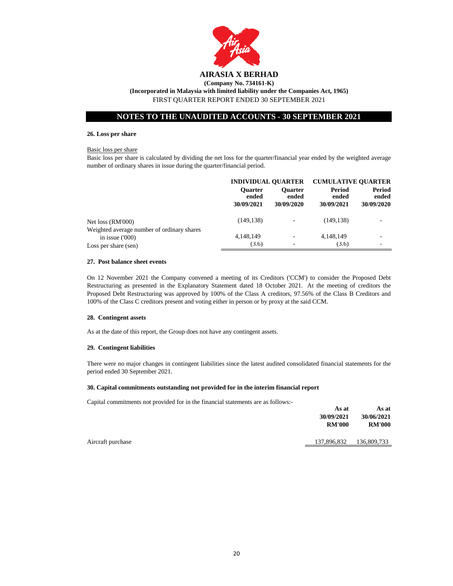

#### **26. Loss per share**

#### Basic loss per share

Basic loss per share is calculated by dividing the net loss for the quarter/financial year ended by the weighted average number of ordinary shares in issue during the quarter/financial period.

|                                                                                        | <b>INDIVIDUAL QUARTER</b>             |                                       | <b>CUMULATIVE OUARTER</b>     |                                      |
|----------------------------------------------------------------------------------------|---------------------------------------|---------------------------------------|-------------------------------|--------------------------------------|
|                                                                                        | <b>Ouarter</b><br>ended<br>30/09/2021 | <b>Ouarter</b><br>ended<br>30/09/2020 | Period<br>ended<br>30/09/2021 | <b>Period</b><br>ended<br>30/09/2020 |
| Net $loss (RM'000)$                                                                    | (149, 138)                            | ۰                                     | (149, 138)                    |                                      |
| Weighted average number of ordinary shares<br>in issue $(000)$<br>Loss per share (sen) | 4,148,149<br>(3.6)                    | ٠                                     | 4,148,149<br>(3.6)            |                                      |

#### **27. Post balance sheet events**

On 12 November 2021 the Company convened a meeting of its Creditors ('CCM') to consider the Proposed Debt Restructuring as presented in the Explanatory Statement dated 18 October 2021. At the meeting of creditors the Proposed Debt Restructuring was approved by 100% of the Class A creditors, 97.56% of the Class B Creditors and 100% of the Class C creditors present and voting either in person or by proxy at the said CCM.

#### **28. Contingent assets**

As at the date of this report, the Group does not have any contingent assets.

#### **29. Contingent liabilities**

There were no major changes in contingent liabilities since the latest audited consolidated financial statements for the period ended 30 September 2021.

#### **30. Capital commitments outstanding not provided for in the interim financial report**

Capital commitments not provided for in the financial statements are as follows:-

|                   | As at         | As at         |
|-------------------|---------------|---------------|
|                   | 30/09/2021    | 30/06/2021    |
|                   | <b>RM'000</b> | <b>RM'000</b> |
| Aircraft purchase | 137,896,832   | 136,809,733   |
|                   |               |               |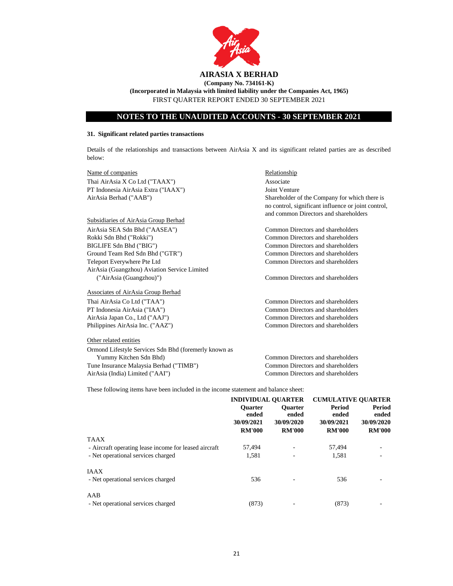

**(Incorporated in Malaysia with limited liability under the Companies Act, 1965)** FIRST QUARTER REPORT ENDED 30 SEPTEMBER 2021

# **NOTES TO THE UNAUDITED ACCOUNTS - 30 SEPTEMBER 2021**

#### **31. Significant related parties transactions**

Details of the relationships and transactions between AirAsia X and its significant related parties are as described below:

Name of companies Relationship Thai AirAsia X Co Ltd ("TAAX") Associate PT Indonesia AirAsia Extra ("IAAX") Joint Venture AirAsia Berhad ("AAB")

#### Subsidiaries of AirAsia Group Berhad

AirAsia SEA Sdn Bhd ("AASEA") Common Directors and shareholders Rokki Sdn Bhd ("Rokki") Common Directors and shareholders BIGLIFE Sdn Bhd ("BIG") Common Directors and shareholders Ground Team Red Sdn Bhd ("GTR") Common Directors and shareholders Teleport Everywhere Pte Ltd Common Directors and shareholders AirAsia (Guangzhou) Aviation Service Limited ("AirAsia (Guangzhou)") Common Directors and shareholders

Associates of AirAsia Group Berhad

#### Other related entities

Ormond Lifestyle Services Sdn Bhd (foremerly known as Yummy Kitchen Sdn Bhd) Common Directors and shareholders Tune Insurance Malaysia Berhad ("TIMB") Common Directors and shareholders AirAsia (India) Limited ("AAI") Common Directors and shareholders

Shareholder of the Company for which there is no control, significant influence or joint control, and common Directors and shareholders

Thai AirAsia Co Ltd ("TAA") Common Directors and shareholders PT Indonesia AirAsia ("IAA") Common Directors and shareholders AirAsia Japan Co., Ltd ("AAJ") Common Directors and shareholders Philippines AirAsia Inc. ("AAZ") Common Directors and shareholders

These following items have been included in the income statement and balance sheet:

|                                                       | <b>INDIVIDUAL OUARTER</b> |                         | <b>CUMULATIVE OUARTER</b> |                 |
|-------------------------------------------------------|---------------------------|-------------------------|---------------------------|-----------------|
|                                                       | <b>Ouarter</b><br>ended   | <b>Ouarter</b><br>ended | Period<br>ended           | Period<br>ended |
|                                                       | 30/09/2021                | 30/09/2020              | 30/09/2021                | 30/09/2020      |
|                                                       | <b>RM'000</b>             | <b>RM'000</b>           | <b>RM'000</b>             | <b>RM'000</b>   |
| <b>TAAX</b>                                           |                           |                         |                           |                 |
| - Aircraft operating lease income for leased aircraft | 57,494                    |                         | 57,494                    |                 |
| - Net operational services charged                    | 1.581                     |                         | 1.581                     |                 |
| <b>IAAX</b>                                           |                           |                         |                           |                 |
| - Net operational services charged                    | 536                       |                         | 536                       |                 |
| AAB                                                   |                           |                         |                           |                 |
| - Net operational services charged                    | (873)                     |                         | (873)                     |                 |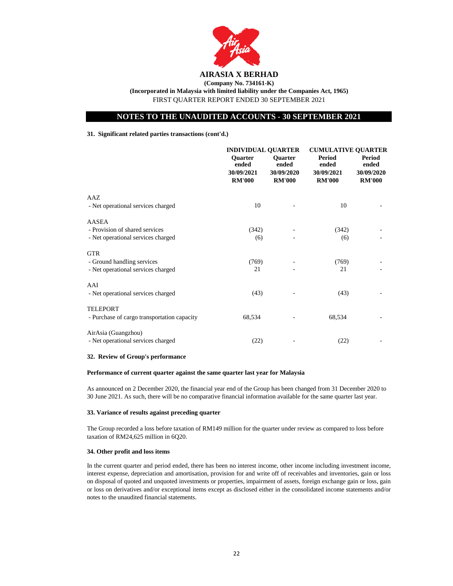

**(Incorporated in Malaysia with limited liability under the Companies Act, 1965)** FIRST QUARTER REPORT ENDED 30 SEPTEMBER 2021

# **NOTES TO THE UNAUDITED ACCOUNTS - 30 SEPTEMBER 2021**

#### **31. Significant related parties transactions (cont'd.)**

|                                                                                      | <b>INDIVIDUAL QUARTER</b>                              |                                                        | <b>CUMULATIVE QUARTER</b>                             |                                                |
|--------------------------------------------------------------------------------------|--------------------------------------------------------|--------------------------------------------------------|-------------------------------------------------------|------------------------------------------------|
|                                                                                      | <b>Ouarter</b><br>ended<br>30/09/2021<br><b>RM'000</b> | <b>Ouarter</b><br>ended<br>30/09/2020<br><b>RM'000</b> | <b>Period</b><br>ended<br>30/09/2021<br><b>RM'000</b> | Period<br>ended<br>30/09/2020<br><b>RM'000</b> |
| AAZ<br>- Net operational services charged                                            | 10                                                     |                                                        | 10                                                    |                                                |
| <b>AASEA</b><br>- Provision of shared services<br>- Net operational services charged | (342)<br>(6)                                           |                                                        | (342)<br>(6)                                          |                                                |
| <b>GTR</b><br>- Ground handling services<br>- Net operational services charged       | (769)<br>21                                            |                                                        | (769)<br>21                                           |                                                |
| AAI<br>- Net operational services charged                                            | (43)                                                   |                                                        | (43)                                                  |                                                |
| <b>TELEPORT</b><br>- Purchase of cargo transportation capacity                       | 68,534                                                 |                                                        | 68,534                                                |                                                |
| AirAsia (Guangzhou)<br>- Net operational services charged                            | (22)                                                   |                                                        | (22)                                                  |                                                |

#### **32. Review of Group's performance**

#### **Performance of current quarter against the same quarter last year for Malaysia**

As announced on 2 December 2020, the financial year end of the Group has been changed from 31 December 2020 to 30 June 2021. As such, there will be no comparative financial information available for the same quarter last year.

#### **33. Variance of results against preceding quarter**

The Group recorded a loss before taxation of RM149 million for the quarter under review as compared to loss before taxation of RM24,625 million in 6Q20.

#### **34. Other profit and loss items**

In the current quarter and period ended, there has been no interest income, other income including investment income, interest expense, depreciation and amortisation, provision for and write off of receivables and inventories, gain or loss on disposal of quoted and unquoted investments or properties, impairment of assets, foreign exchange gain or loss, gain or loss on derivatives and/or exceptional items except as disclosed either in the consolidated income statements and/or notes to the unaudited financial statements.